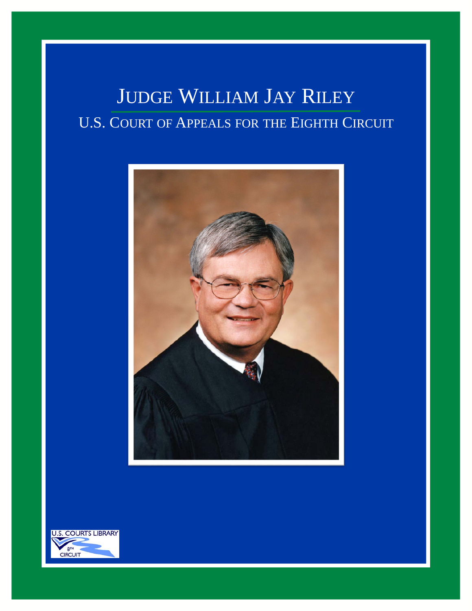## JUDGE WILLIAM JAY RILEY U.S. COURT OF APPEALS FOR THE EIGHTH CIRCUIT



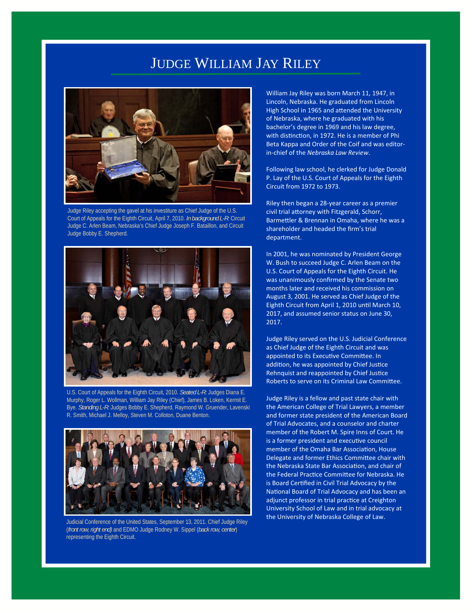## JUDGE WILLIAM JAY RILEY



Judge Riley accepting the gavel at his investiture as Chief Judge of the U.S. Court of Appeals for the Eighth Circuit, April 7, 2010. *In background L-R:* Circuit Judge C. Arlen Beam, Nebraska's Chief Judge Joseph F. Bataillon, and Circuit Judge Bobby E. Shepherd.



U.S. Court of Appeals for the Eighth Circuit, 2010. *Seated L-R:* Judges Diana E. Murphy, Roger L. Wollman, William Jay Riley (Chief), James B. Loken, Kermit E. Bye. *Standing L-R:* Judges Bobby E. Shepherd, Raymond W. Gruender, Lavenski R. Smith, Michael J. Melloy, Steven M. Colloton, Duane Benton.



Judicial Conference of the United States, September 13, 2011. Chief Judge Riley (*front row, right end)* and EDMO Judge Rodney W. Sippel (*back row, center*) representing the Eighth Circuit.

William Jay Riley was born March 11, 1947, in Lincoln, Nebraska. He graduated from Lincoln High School in 1965 and attended the University of Nebraska, where he graduated with his bachelor's degree in 1969 and his law degree, with distinction, in 1972. He is a member of Phi Beta Kappa and Order of the Coif and was editor‐ in‐chief of the *Nebraska Law Review*.

Following law school, he clerked for Judge Donald P. Lay of the U.S. Court of Appeals for the Eighth Circuit from 1972 to 1973.

Riley then began a 28‐year career as a premier civil trial attorney with Fitzgerald, Schorr, Barmettler & Brennan in Omaha, where he was a shareholder and headed the firm's trial department.

In 2001, he was nominated by President George W. Bush to succeed Judge C. Arlen Beam on the U.S. Court of Appeals for the Eighth Circuit. He was unanimously confirmed by the Senate two months later and received his commission on August 3, 2001. He served as Chief Judge of the Eighth Circuit from April 1, 2010 until March 10, 2017, and assumed senior status on June 30, 2017.

Judge Riley served on the U.S. Judicial Conference as Chief Judge of the Eighth Circuit and was appointed to its Executive Committee. In addition, he was appointed by Chief Justice Rehnquist and reappointed by Chief Justice Roberts to serve on its Criminal Law Committee.

Judge Riley is a fellow and past state chair with the American College of Trial Lawyers, a member and former state president of the American Board of Trial Advocates, and a counselor and charter member of the Robert M. Spire Inns of Court. He is a former president and executive council member of the Omaha Bar Association, House Delegate and former Ethics Committee chair with the Nebraska State Bar Association, and chair of the Federal Practice Committee for Nebraska. He is Board Certified in Civil Trial Advocacy by the National Board of Trial Advocacy and has been an adjunct professor in trial practice at Creighton University School of Law and in trial advocacy at the University of Nebraska College of Law.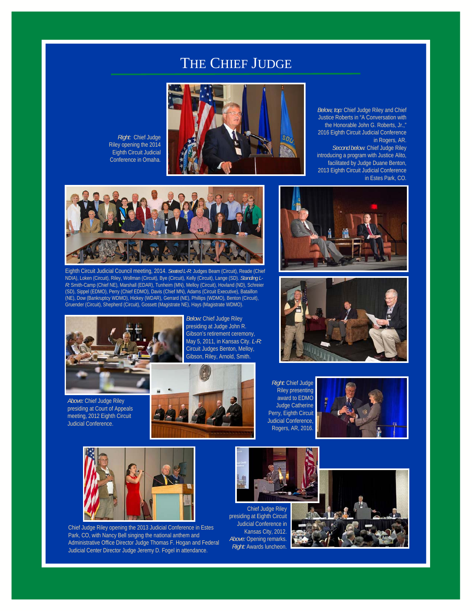## THE CHIEF JUDGE

*Right:* Chief Judge Riley opening the 2014 Eighth Circuit Judicial Conference in Omaha.



*Below, top:* Chief Judge Riley and Chief Justice Roberts in "A Conversation with the Honorable John G. Roberts, Jr.," 2016 Eighth Circuit Judicial Conference in Rogers, AR. *Second below*: Chief Judge Riley introducing a program with Justice Alito, facilitated by Judge Duane Benton, 2013 Eighth Circuit Judicial Conference in Estes Park, CO.



Eighth Circuit Judicial Council meeting, 2014. *Seated L-R*: Judges Beam (Circuit), Reade (Chief NDIA), Loken (Circuit), Riley, Wollman (Circuit), Bye (Circuit), Kelly (Circuit), Lange (SD). *Standing L-R:* Smith-Camp (Chief NE), Marshall (EDAR), Tunheim (MN), Melloy (Circuit), Hovland (ND), Schreier (SD), Sippel (EDMO), Perry (Chief EDMO), Davis (Chief MN), Adams (Circuit Executive), Bataillon (NE), Dow (Bankruptcy WDMO), Hickey (WDAR), Gerrard (NE), Phillips (WDMO), Benton (Circuit), Gruender (Circuit), Shepherd (Circuit), Gossett (Magistrate NE), Hays (Magistrate WDMO).







*Above:* Chief Judge Riley presiding at Court of Appeals meeting, 2012 Eighth Circuit Judicial Conference.

*Below:* Chief Judge Riley presiding at Judge John R. Gibson's retirement ceremony, May 5, 2011, in Kansas City. *L-R:*  Circuit Judges Benton, Melloy, Gibson, Riley, Arnold, Smith.



*Right:* Chief Judge Riley presenting award to EDMO Judge Catherine Perry, Eighth Circuit Judicial Conference, Rogers, AR, 2016.





Chief Judge Riley opening the 2013 Judicial Conference in Estes Park, CO, with Nancy Bell singing the national anthem and Administrative Office Director Judge Thomas F. Hogan and Federal Judicial Center Director Judge Jeremy D. Fogel in attendance.



Chief Judge Riley presiding at Eighth Circuit Judicial Conference in Kansas City, 2012. **Above: Opening remarks** *Right:* Awards luncheon.